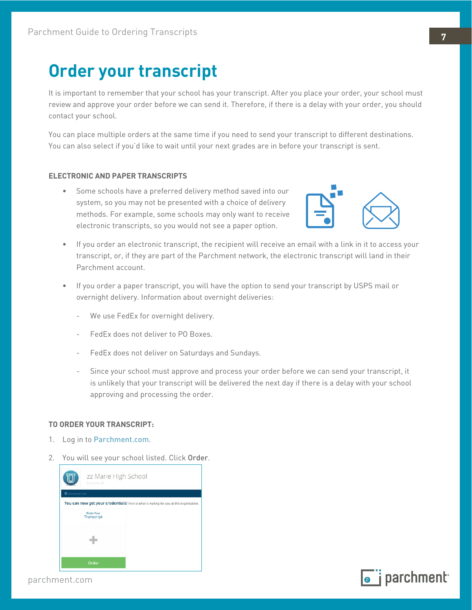## **Order your transcript**

It is important to remember that your school has your transcript. After you place your order, your school must review and approve your order before we can send it. Therefore, if there is a delay with your order, you should contact your school.

You can place multiple orders at the same time if you need to send your transcript to different destinations. You can also select if you'd like to wait until your next grades are in before your transcript is sent.

## **ELECTRONIC AND PAPER TRANSCRIPTS**

• Some schools have a preferred delivery method saved into our system, so you may not be presented with a choice of delivery methods. For example, some schools may only want to receive electronic transcripts, so you would not see a paper option.



- If you order an electronic transcript, the recipient will receive an email with a link in it to access your transcript, or, if they are part of the Parchment network, the electronic transcript will land in their Parchment account.
- If you order a paper transcript, you will have the option to send your transcript by USPS mail or overnight delivery. Information about overnight deliveries:
	- We use FedEx for overnight delivery.
	- FedEx does not deliver to PO Boxes.
	- FedEx does not deliver on Saturdays and Sundays.
	- Since your school must approve and process your order before we can send your transcript, it is unlikely that your transcript will be delivered the next day if there is a delay with your school approving and processing the order.

## **TO ORDER YOUR TRANSCRIPT:**

- 1. Log in to [Parchment.com](http://www.parchment.com).
- 2. You will see your school listed. Click Order.



parchment.com

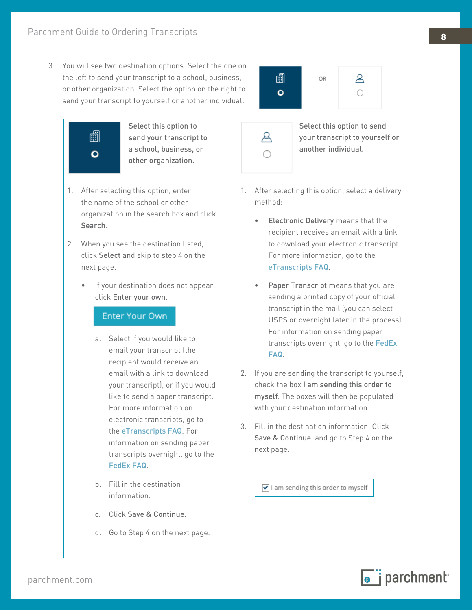3. You will see two destination options. Select the one on the left to send your transcript to a school, business, or other organization. Select the option on the right to send your transcript to yourself or another individual.



Select this option to send your transcript to a school, business, or other organization.

- 1. After selecting this option, enter the name of the school or other organization in the search box and click Search.
- 2. When you see the destination listed, click Select and skip to step 4 on the next page.
	- If your destination does not appear, click Enter your own.

## Enter Your Own

- a. Select if you would like to email your transcript (the recipient would receive an email with a link to download your transcript), or if you would like to send a paper transcript. For more information on electronic transcripts, go to the [eTranscripts FAQ](#page--1-0). For information on sending paper transcripts overnight, go to the [FedEx FAQ](#page--1-1).
- b. Fill in the destination information.
- c. Click Save & Continue.
- d. Go to Step 4 on the next page.



&

Select this option to send your transcript to yourself or another individual.

- 1. After selecting this option, select a delivery method:
	- Electronic Delivery means that the recipient receives an email with a link to download your electronic transcript. For more information, go to the [eTranscripts FAQ](#page--1-0).
	- Paper Transcript means that you are sending a printed copy of your official transcript in the mail (you can select USPS or overnight later in the process). For information on sending paper transcripts overnight, go to the [FedEx](#page--1-1)  [FAQ](#page--1-1).
- 2. If you are sending the transcript to yourself, check the box I am sending this order to myself. The boxes will then be populated with your destination information.
- 3. Fill in the destination information. Click Save & Continue, and go to Step 4 on the next page.

I am sending this order to myself

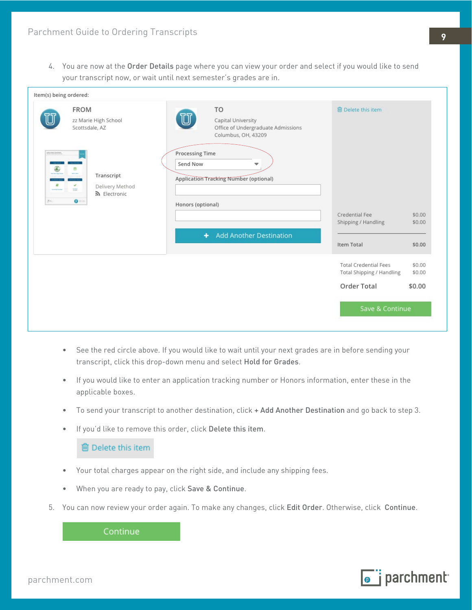4. You are now at the Order Details page where you can view your order and select if you would like to send your transcript now, or wait until next semester's grades are in.

| <b>FROM</b><br>zz Marie High School<br>Scottsdale, AZ                                                  | TO<br>U<br>Capital University<br>Office of Undergraduate Admissions<br>Columbus, OH, 43209                    | <b>俞 Delete this item</b>                                 |                  |
|--------------------------------------------------------------------------------------------------------|---------------------------------------------------------------------------------------------------------------|-----------------------------------------------------------|------------------|
| 曲<br>an av<br>Transcript<br>v.<br>Delivery Method<br><b>TOP</b><br><u>5</u> Electronic<br>$\mathbf{O}$ | <b>Processing Time</b><br>Send Now<br>÷<br><b>Application Tracking Number (optional)</b><br>Honors (optional) | Credential Fee<br>Shipping / Handling                     | \$0.00<br>\$0.00 |
|                                                                                                        |                                                                                                               | <b>Item Total</b>                                         | \$0.00           |
|                                                                                                        |                                                                                                               | <b>Total Credential Fees</b><br>Total Shipping / Handling | \$0.00<br>\$0.00 |
|                                                                                                        |                                                                                                               | <b>Order Total</b>                                        | \$0.00           |
|                                                                                                        |                                                                                                               | Save & Continue                                           |                  |
|                                                                                                        |                                                                                                               | + Add Another Destination                                 |                  |

- See the red circle above. If you would like to wait until your next grades are in before sending your transcript, click this drop-down menu and select Hold for Grades.
- If you would like to enter an application tracking number or Honors information, enter these in the applicable boxes.
- To send your transcript to another destination, click + Add Another Destination and go back to step 3.
- If you'd like to remove this order, click Delete this item.

**m** Delete this item

- Your total charges appear on the right side, and include any shipping fees.
- When you are ready to pay, click Save & Continue.
- 5. You can now review your order again. To make any changes, click Edit Order. Otherwise, click Continue.

Continue

parchment.com